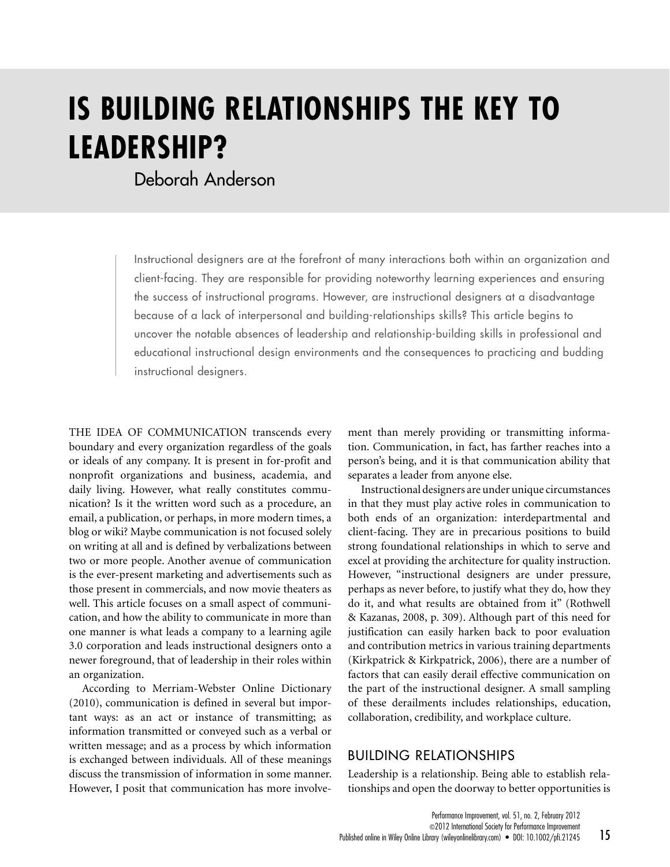# **IS BUILDING RELATIONSHIPS THE KEY TO LEADERSHIP?**

Deborah Anderson

Instructional designers are at the forefront of many interactions both within an organization and client-facing. They are responsible for providing noteworthy learning experiences and ensuring the success of instructional programs. However, are instructional designers at a disadvantage because of a lack of interpersonal and building-relationships skills? This article begins to uncover the notable absences of leadership and relationship-building skills in professional and educational instructional design environments and the consequences to practicing and budding instructional designers.

THE IDEA OF COMMUNICATION transcends every boundary and every organization regardless of the goals or ideals of any company. It is present in for-profit and nonprofit organizations and business, academia, and daily living. However, what really constitutes communication? Is it the written word such as a procedure, an email, a publication, or perhaps, in more modern times, a blog or wiki? Maybe communication is not focused solely on writing at all and is defined by verbalizations between two or more people. Another avenue of communication is the ever-present marketing and advertisements such as those present in commercials, and now movie theaters as well. This article focuses on a small aspect of communication, and how the ability to communicate in more than one manner is what leads a company to a learning agile 3.0 corporation and leads instructional designers onto a newer foreground, that of leadership in their roles within an organization.

According to Merriam-Webster Online Dictionary (2010), communication is defined in several but important ways: as an act or instance of transmitting; as information transmitted or conveyed such as a verbal or written message; and as a process by which information is exchanged between individuals. All of these meanings discuss the transmission of information in some manner. However, I posit that communication has more involve-

ment than merely providing or transmitting information. Communication, in fact, has farther reaches into a person's being, and it is that communication ability that separates a leader from anyone else.

Instructional designers are under unique circumstances in that they must play active roles in communication to both ends of an organization: interdepartmental and client-facing. They are in precarious positions to build strong foundational relationships in which to serve and excel at providing the architecture for quality instruction. However, "instructional designers are under pressure, perhaps as never before, to justify what they do, how they do it, and what results are obtained from it" (Rothwell & Kazanas, 2008, p. 309). Although part of this need for justification can easily harken back to poor evaluation and contribution metrics in various training departments (Kirkpatrick & Kirkpatrick, 2006), there are a number of factors that can easily derail effective communication on the part of the instructional designer. A small sampling of these derailments includes relationships, education, collaboration, credibility, and workplace culture.

# BUILDING RELATIONSHIPS

Leadership is a relationship. Being able to establish relationships and open the doorway to better opportunities is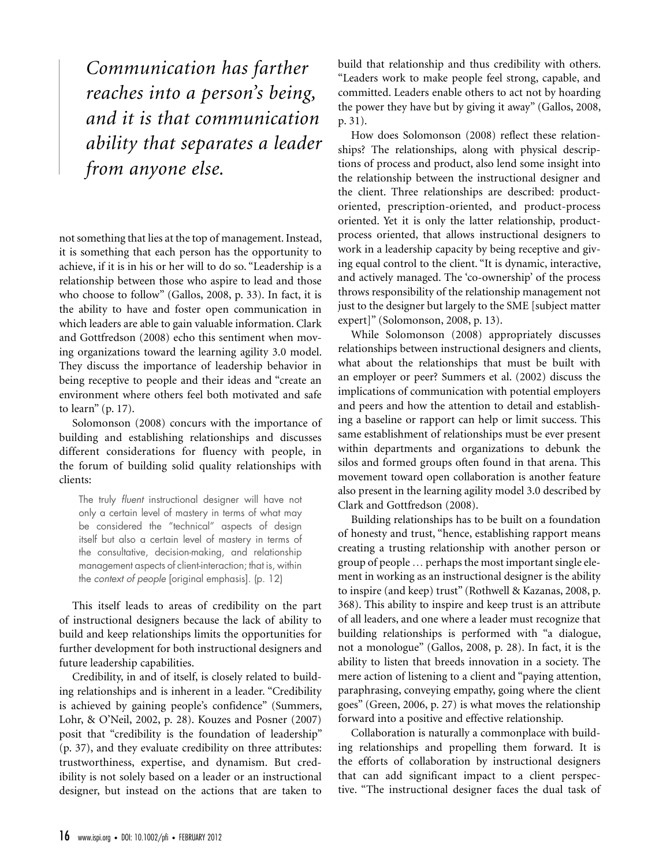*Communication has farther reaches into a person's being, and it is that communication ability that separates a leader from anyone else.*

not something that lies at the top of management. Instead, it is something that each person has the opportunity to achieve, if it is in his or her will to do so. "Leadership is a relationship between those who aspire to lead and those who choose to follow" (Gallos, 2008, p. 33). In fact, it is the ability to have and foster open communication in which leaders are able to gain valuable information. Clark and Gottfredson (2008) echo this sentiment when moving organizations toward the learning agility 3.0 model. They discuss the importance of leadership behavior in being receptive to people and their ideas and "create an environment where others feel both motivated and safe to learn" (p. 17).

Solomonson (2008) concurs with the importance of building and establishing relationships and discusses different considerations for fluency with people, in the forum of building solid quality relationships with clients:

The truly *fluent* instructional designer will have not only a certain level of mastery in terms of what may be considered the "technical" aspects of design itself but also a certain level of mastery in terms of the consultative, decision-making, and relationship management aspects of client-interaction; that is, within the *context of people* [original emphasis]. (p. 12)

This itself leads to areas of credibility on the part of instructional designers because the lack of ability to build and keep relationships limits the opportunities for further development for both instructional designers and future leadership capabilities.

Credibility, in and of itself, is closely related to building relationships and is inherent in a leader. "Credibility is achieved by gaining people's confidence" (Summers, Lohr, & O'Neil, 2002, p. 28). Kouzes and Posner (2007) posit that "credibility is the foundation of leadership" (p. 37), and they evaluate credibility on three attributes: trustworthiness, expertise, and dynamism. But credibility is not solely based on a leader or an instructional designer, but instead on the actions that are taken to build that relationship and thus credibility with others. "Leaders work to make people feel strong, capable, and committed. Leaders enable others to act not by hoarding the power they have but by giving it away" (Gallos, 2008, p. 31).

How does Solomonson (2008) reflect these relationships? The relationships, along with physical descriptions of process and product, also lend some insight into the relationship between the instructional designer and the client. Three relationships are described: productoriented, prescription-oriented, and product-process oriented. Yet it is only the latter relationship, productprocess oriented, that allows instructional designers to work in a leadership capacity by being receptive and giving equal control to the client. "It is dynamic, interactive, and actively managed. The 'co-ownership' of the process throws responsibility of the relationship management not just to the designer but largely to the SME [subject matter expert]" (Solomonson, 2008, p. 13).

While Solomonson (2008) appropriately discusses relationships between instructional designers and clients, what about the relationships that must be built with an employer or peer? Summers et al. (2002) discuss the implications of communication with potential employers and peers and how the attention to detail and establishing a baseline or rapport can help or limit success. This same establishment of relationships must be ever present within departments and organizations to debunk the silos and formed groups often found in that arena. This movement toward open collaboration is another feature also present in the learning agility model 3.0 described by Clark and Gottfredson (2008).

Building relationships has to be built on a foundation of honesty and trust, "hence, establishing rapport means creating a trusting relationship with another person or group of people … perhaps the most important single element in working as an instructional designer is the ability to inspire (and keep) trust" (Rothwell & Kazanas, 2008, p. 368). This ability to inspire and keep trust is an attribute of all leaders, and one where a leader must recognize that building relationships is performed with "a dialogue, not a monologue" (Gallos, 2008, p. 28). In fact, it is the ability to listen that breeds innovation in a society. The mere action of listening to a client and "paying attention, paraphrasing, conveying empathy, going where the client goes" (Green, 2006, p. 27) is what moves the relationship forward into a positive and effective relationship.

Collaboration is naturally a commonplace with building relationships and propelling them forward. It is the efforts of collaboration by instructional designers that can add significant impact to a client perspective. "The instructional designer faces the dual task of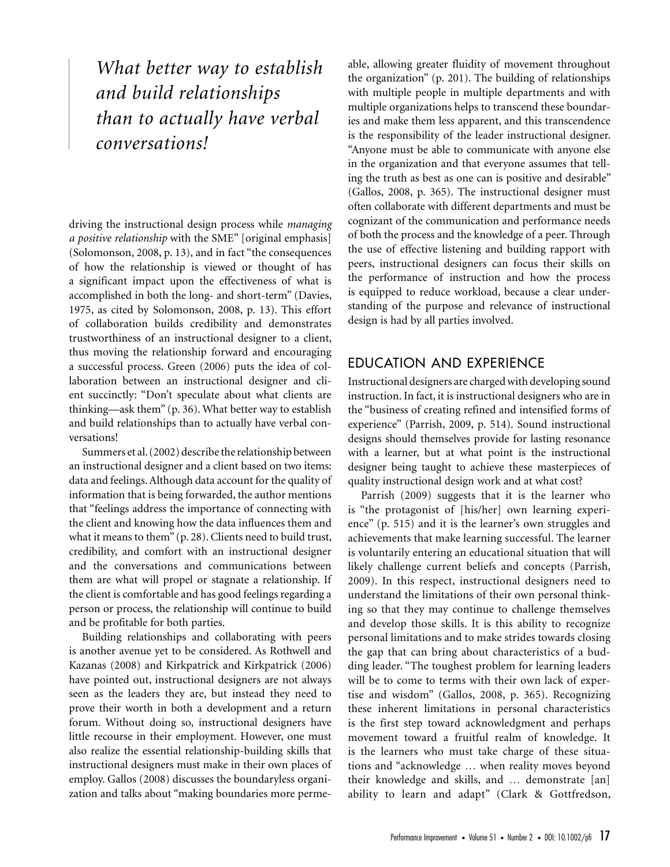*What better way to establish and build relationships than to actually have verbal conversations!*

driving the instructional design process while *managing a positive relationship* with the SME" [original emphasis] (Solomonson, 2008, p. 13), and in fact "the consequences of how the relationship is viewed or thought of has a significant impact upon the effectiveness of what is accomplished in both the long- and short-term" (Davies, 1975, as cited by Solomonson, 2008, p. 13). This effort of collaboration builds credibility and demonstrates trustworthiness of an instructional designer to a client, thus moving the relationship forward and encouraging a successful process. Green (2006) puts the idea of collaboration between an instructional designer and client succinctly: "Don't speculate about what clients are thinking—ask them" (p. 36). What better way to establish and build relationships than to actually have verbal conversations!

Summers et al. (2002) describe the relationship between an instructional designer and a client based on two items: data and feelings. Although data account for the quality of information that is being forwarded, the author mentions that "feelings address the importance of connecting with the client and knowing how the data influences them and what it means to them" (p. 28). Clients need to build trust, credibility, and comfort with an instructional designer and the conversations and communications between them are what will propel or stagnate a relationship. If the client is comfortable and has good feelings regarding a person or process, the relationship will continue to build and be profitable for both parties.

Building relationships and collaborating with peers is another avenue yet to be considered. As Rothwell and Kazanas (2008) and Kirkpatrick and Kirkpatrick (2006) have pointed out, instructional designers are not always seen as the leaders they are, but instead they need to prove their worth in both a development and a return forum. Without doing so, instructional designers have little recourse in their employment. However, one must also realize the essential relationship-building skills that instructional designers must make in their own places of employ. Gallos (2008) discusses the boundaryless organization and talks about "making boundaries more perme-

able, allowing greater fluidity of movement throughout the organization" (p. 201). The building of relationships with multiple people in multiple departments and with multiple organizations helps to transcend these boundaries and make them less apparent, and this transcendence is the responsibility of the leader instructional designer. "Anyone must be able to communicate with anyone else in the organization and that everyone assumes that telling the truth as best as one can is positive and desirable" (Gallos, 2008, p. 365). The instructional designer must often collaborate with different departments and must be cognizant of the communication and performance needs of both the process and the knowledge of a peer. Through the use of effective listening and building rapport with peers, instructional designers can focus their skills on the performance of instruction and how the process is equipped to reduce workload, because a clear understanding of the purpose and relevance of instructional design is had by all parties involved.

### EDUCATION AND EXPERIENCE

Instructional designers are charged with developing sound instruction. In fact, it is instructional designers who are in the "business of creating refined and intensified forms of experience" (Parrish, 2009, p. 514). Sound instructional designs should themselves provide for lasting resonance with a learner, but at what point is the instructional designer being taught to achieve these masterpieces of quality instructional design work and at what cost?

Parrish (2009) suggests that it is the learner who is "the protagonist of [his/her] own learning experience" (p. 515) and it is the learner's own struggles and achievements that make learning successful. The learner is voluntarily entering an educational situation that will likely challenge current beliefs and concepts (Parrish, 2009). In this respect, instructional designers need to understand the limitations of their own personal thinking so that they may continue to challenge themselves and develop those skills. It is this ability to recognize personal limitations and to make strides towards closing the gap that can bring about characteristics of a budding leader. "The toughest problem for learning leaders will be to come to terms with their own lack of expertise and wisdom" (Gallos, 2008, p. 365). Recognizing these inherent limitations in personal characteristics is the first step toward acknowledgment and perhaps movement toward a fruitful realm of knowledge. It is the learners who must take charge of these situations and "acknowledge … when reality moves beyond their knowledge and skills, and … demonstrate [an] ability to learn and adapt" (Clark & Gottfredson,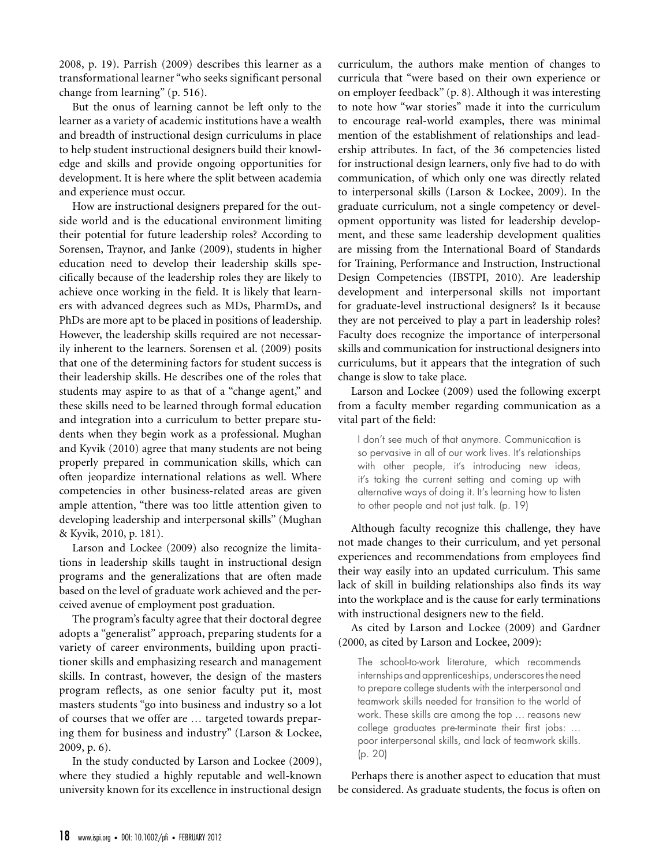2008, p. 19). Parrish (2009) describes this learner as a transformational learner "who seeks significant personal change from learning" (p. 516).

But the onus of learning cannot be left only to the learner as a variety of academic institutions have a wealth and breadth of instructional design curriculums in place to help student instructional designers build their knowledge and skills and provide ongoing opportunities for development. It is here where the split between academia and experience must occur.

How are instructional designers prepared for the outside world and is the educational environment limiting their potential for future leadership roles? According to Sorensen, Traynor, and Janke (2009), students in higher education need to develop their leadership skills specifically because of the leadership roles they are likely to achieve once working in the field. It is likely that learners with advanced degrees such as MDs, PharmDs, and PhDs are more apt to be placed in positions of leadership. However, the leadership skills required are not necessarily inherent to the learners. Sorensen et al. (2009) posits that one of the determining factors for student success is their leadership skills. He describes one of the roles that students may aspire to as that of a "change agent," and these skills need to be learned through formal education and integration into a curriculum to better prepare students when they begin work as a professional. Mughan and Kyvik (2010) agree that many students are not being properly prepared in communication skills, which can often jeopardize international relations as well. Where competencies in other business-related areas are given ample attention, "there was too little attention given to developing leadership and interpersonal skills" (Mughan & Kyvik, 2010, p. 181).

Larson and Lockee (2009) also recognize the limitations in leadership skills taught in instructional design programs and the generalizations that are often made based on the level of graduate work achieved and the perceived avenue of employment post graduation.

The program's faculty agree that their doctoral degree adopts a "generalist" approach, preparing students for a variety of career environments, building upon practitioner skills and emphasizing research and management skills. In contrast, however, the design of the masters program reflects, as one senior faculty put it, most masters students "go into business and industry so a lot of courses that we offer are … targeted towards preparing them for business and industry" (Larson & Lockee, 2009, p. 6).

In the study conducted by Larson and Lockee (2009), where they studied a highly reputable and well-known university known for its excellence in instructional design curriculum, the authors make mention of changes to curricula that "were based on their own experience or on employer feedback" (p. 8). Although it was interesting to note how "war stories" made it into the curriculum to encourage real-world examples, there was minimal mention of the establishment of relationships and leadership attributes. In fact, of the 36 competencies listed for instructional design learners, only five had to do with communication, of which only one was directly related to interpersonal skills (Larson & Lockee, 2009). In the graduate curriculum, not a single competency or development opportunity was listed for leadership development, and these same leadership development qualities are missing from the International Board of Standards for Training, Performance and Instruction, Instructional Design Competencies (IBSTPI, 2010). Are leadership development and interpersonal skills not important for graduate-level instructional designers? Is it because they are not perceived to play a part in leadership roles? Faculty does recognize the importance of interpersonal skills and communication for instructional designers into curriculums, but it appears that the integration of such change is slow to take place.

Larson and Lockee (2009) used the following excerpt from a faculty member regarding communication as a vital part of the field:

I don't see much of that anymore. Communication is so pervasive in all of our work lives. It's relationships with other people, it's introducing new ideas, it's taking the current setting and coming up with alternative ways of doing it. It's learning how to listen to other people and not just talk. (p. 19)

Although faculty recognize this challenge, they have not made changes to their curriculum, and yet personal experiences and recommendations from employees find their way easily into an updated curriculum. This same lack of skill in building relationships also finds its way into the workplace and is the cause for early terminations with instructional designers new to the field.

As cited by Larson and Lockee (2009) and Gardner (2000, as cited by Larson and Lockee, 2009):

The school-to-work literature, which recommends internships and apprenticeships, underscores the need to prepare college students with the interpersonal and teamwork skills needed for transition to the world of work. These skills are among the top … reasons new college graduates pre-terminate their first jobs: ... poor interpersonal skills, and lack of teamwork skills. (p. 20)

Perhaps there is another aspect to education that must be considered. As graduate students, the focus is often on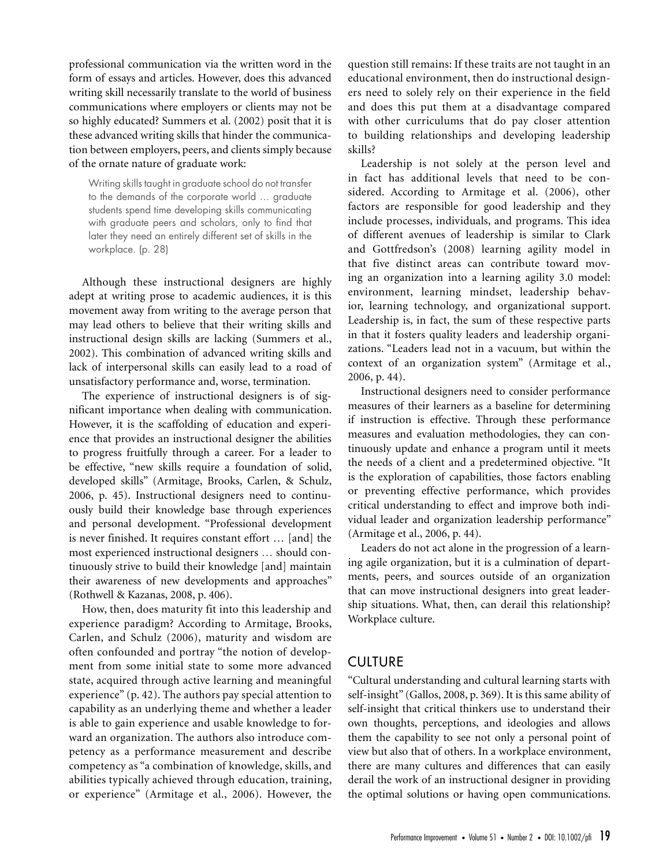professional communication via the written word in the form of essays and articles. However, does this advanced writing skill necessarily translate to the world of business communications where employers or clients may not be so highly educated? Summers et al. (2002) posit that it is these advanced writing skills that hinder the communication between employers, peers, and clients simply because of the ornate nature of graduate work:

Writing skills taught in graduate school do not transfer to the demands of the corporate world … graduate students spend time developing skills communicating with graduate peers and scholars, only to find that later they need an entirely different set of skills in the workplace. (p. 28)

Although these instructional designers are highly adept at writing prose to academic audiences, it is this movement away from writing to the average person that may lead others to believe that their writing skills and instructional design skills are lacking (Summers et al., 2002). This combination of advanced writing skills and lack of interpersonal skills can easily lead to a road of unsatisfactory performance and, worse, termination.

The experience of instructional designers is of significant importance when dealing with communication. However, it is the scaffolding of education and experience that provides an instructional designer the abilities to progress fruitfully through a career. For a leader to be effective, "new skills require a foundation of solid, developed skills" (Armitage, Brooks, Carlen, & Schulz, 2006, p. 45). Instructional designers need to continuously build their knowledge base through experiences and personal development. "Professional development is never finished. It requires constant effort … [and] the most experienced instructional designers … should continuously strive to build their knowledge [and] maintain their awareness of new developments and approaches" (Rothwell & Kazanas, 2008, p. 406).

How, then, does maturity fit into this leadership and experience paradigm? According to Armitage, Brooks, Carlen, and Schulz (2006), maturity and wisdom are often confounded and portray "the notion of development from some initial state to some more advanced state, acquired through active learning and meaningful experience" (p. 42). The authors pay special attention to capability as an underlying theme and whether a leader is able to gain experience and usable knowledge to forward an organization. The authors also introduce competency as a performance measurement and describe competency as "a combination of knowledge, skills, and abilities typically achieved through education, training, or experience" (Armitage et al., 2006). However, the

question still remains: If these traits are not taught in an educational environment, then do instructional designers need to solely rely on their experience in the field and does this put them at a disadvantage compared with other curriculums that do pay closer attention to building relationships and developing leadership skills?

Leadership is not solely at the person level and in fact has additional levels that need to be considered. According to Armitage et al. (2006), other factors are responsible for good leadership and they include processes, individuals, and programs. This idea of different avenues of leadership is similar to Clark and Gottfredson's (2008) learning agility model in that five distinct areas can contribute toward moving an organization into a learning agility 3.0 model: environment, learning mindset, leadership behavior, learning technology, and organizational support. Leadership is, in fact, the sum of these respective parts in that it fosters quality leaders and leadership organizations. "Leaders lead not in a vacuum, but within the context of an organization system" (Armitage et al., 2006, p. 44).

Instructional designers need to consider performance measures of their learners as a baseline for determining if instruction is effective. Through these performance measures and evaluation methodologies, they can continuously update and enhance a program until it meets the needs of a client and a predetermined objective. "It is the exploration of capabilities, those factors enabling or preventing effective performance, which provides critical understanding to effect and improve both individual leader and organization leadership performance" (Armitage et al., 2006, p. 44).

Leaders do not act alone in the progression of a learning agile organization, but it is a culmination of departments, peers, and sources outside of an organization that can move instructional designers into great leadership situations. What, then, can derail this relationship? Workplace culture.

# **CULTURE**

"Cultural understanding and cultural learning starts with self-insight" (Gallos, 2008, p. 369). It is this same ability of self-insight that critical thinkers use to understand their own thoughts, perceptions, and ideologies and allows them the capability to see not only a personal point of view but also that of others. In a workplace environment, there are many cultures and differences that can easily derail the work of an instructional designer in providing the optimal solutions or having open communications.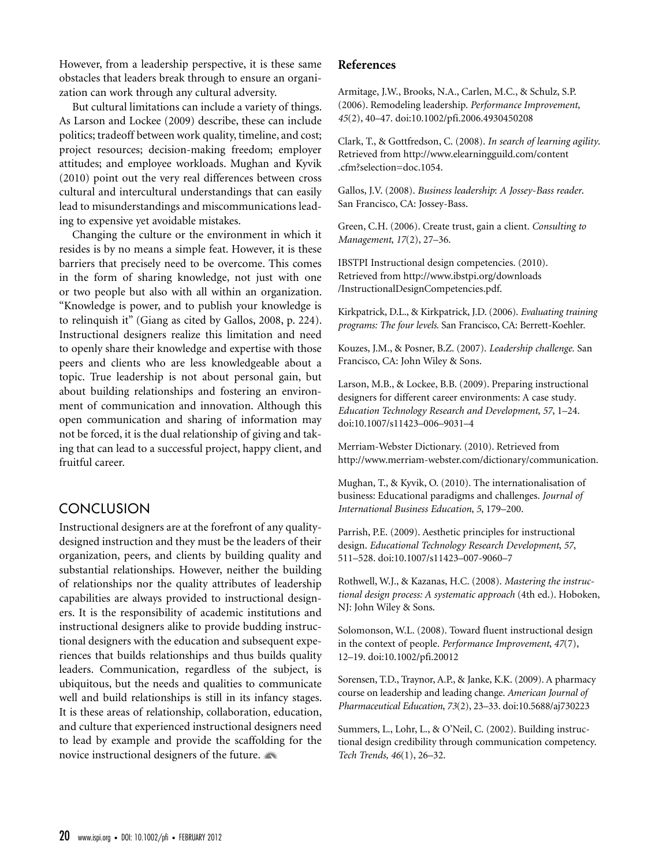However, from a leadership perspective, it is these same obstacles that leaders break through to ensure an organization can work through any cultural adversity.

But cultural limitations can include a variety of things. As Larson and Lockee (2009) describe, these can include politics; tradeoff between work quality, timeline, and cost; project resources; decision-making freedom; employer attitudes; and employee workloads. Mughan and Kyvik (2010) point out the very real differences between cross cultural and intercultural understandings that can easily lead to misunderstandings and miscommunications leading to expensive yet avoidable mistakes.

Changing the culture or the environment in which it resides is by no means a simple feat. However, it is these barriers that precisely need to be overcome. This comes in the form of sharing knowledge, not just with one or two people but also with all within an organization. "Knowledge is power, and to publish your knowledge is to relinquish it" (Giang as cited by Gallos, 2008, p. 224). Instructional designers realize this limitation and need to openly share their knowledge and expertise with those peers and clients who are less knowledgeable about a topic. True leadership is not about personal gain, but about building relationships and fostering an environment of communication and innovation. Although this open communication and sharing of information may not be forced, it is the dual relationship of giving and taking that can lead to a successful project, happy client, and fruitful career.

### **CONCLUSION**

Instructional designers are at the forefront of any qualitydesigned instruction and they must be the leaders of their organization, peers, and clients by building quality and substantial relationships. However, neither the building of relationships nor the quality attributes of leadership capabilities are always provided to instructional designers. It is the responsibility of academic institutions and instructional designers alike to provide budding instructional designers with the education and subsequent experiences that builds relationships and thus builds quality leaders. Communication, regardless of the subject, is ubiquitous, but the needs and qualities to communicate well and build relationships is still in its infancy stages. It is these areas of relationship, collaboration, education, and culture that experienced instructional designers need to lead by example and provide the scaffolding for the novice instructional designers of the future.

#### **References**

Armitage, J.W., Brooks, N.A., Carlen, M.C., & Schulz, S.P. (2006). Remodeling leadership. *Performance Improvement*, *45*(2), 40–47. doi:10.1002/pfi.2006.4930450208

Clark, T., & Gottfredson, C. (2008). *In search of learning agility*. Retrieved from http://www.elearningguild.com/content .cfm?selection=doc.1054.

Gallos, J.V. (2008). *Business leadership*: *A Jossey-Bass reader*. San Francisco, CA: Jossey-Bass.

Green, C.H. (2006). Create trust, gain a client. *Consulting to Management*, *17*(2), 27–36.

IBSTPI Instructional design competencies. (2010). Retrieved from http://www.ibstpi.org/downloads /InstructionalDesignCompetencies.pdf.

Kirkpatrick, D.L., & Kirkpatrick, J.D. (2006). *Evaluating training programs: The four levels.* San Francisco, CA: Berrett-Koehler.

Kouzes, J.M., & Posner, B.Z. (2007). *Leadership challenge.* San Francisco, CA: John Wiley & Sons.

Larson, M.B., & Lockee, B.B. (2009). Preparing instructional designers for different career environments: A case study*. Education Technology Research and Development*, *57*, 1–24. doi:10.1007/s11423–006–9031–4

Merriam-Webster Dictionary. (2010). Retrieved from http://www.merriam-webster.com/dictionary/communication.

Mughan, T., & Kyvik, O. (2010). The internationalisation of business: Educational paradigms and challenges. *Journal of International Business Education*, *5*, 179–200.

Parrish, P.E. (2009). Aesthetic principles for instructional design. *Educational Technology Research Development*, *57*, 511–528. doi:10.1007/s11423–007-9060–7

Rothwell, W.J., & Kazanas, H.C. (2008). *Mastering the instructional design process: A systematic approach* (4th ed.). Hoboken, NJ: John Wiley & Sons.

Solomonson, W.L. (2008). Toward fluent instructional design in the context of people. *Performance Improvement*, *47*(7), 12–19. doi:10.1002/pfi.20012

Sorensen, T.D., Traynor, A.P., & Janke, K.K. (2009). A pharmacy course on leadership and leading change. *American Journal of Pharmaceutical Education*, *73*(2), 23–33. doi:10.5688/aj730223

Summers, L., Lohr, L., & O'Neil, C. (2002). Building instructional design credibility through communication competency. *Tech Trends, 46*(1), 26–32.